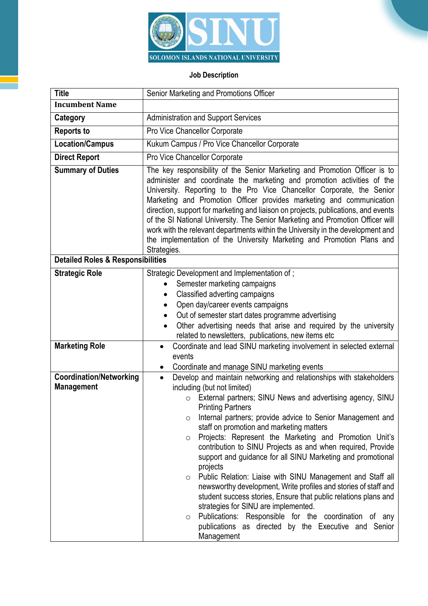

## **Job Description**

| <b>Title</b>                                        | Senior Marketing and Promotions Officer                                                                                                                                                                                                                                                                                                                                                                                                                                                                                                                                                                                                                                                                                                                                                                                                                                                                                                 |
|-----------------------------------------------------|-----------------------------------------------------------------------------------------------------------------------------------------------------------------------------------------------------------------------------------------------------------------------------------------------------------------------------------------------------------------------------------------------------------------------------------------------------------------------------------------------------------------------------------------------------------------------------------------------------------------------------------------------------------------------------------------------------------------------------------------------------------------------------------------------------------------------------------------------------------------------------------------------------------------------------------------|
| <b>Incumbent Name</b>                               |                                                                                                                                                                                                                                                                                                                                                                                                                                                                                                                                                                                                                                                                                                                                                                                                                                                                                                                                         |
| Category                                            | <b>Administration and Support Services</b>                                                                                                                                                                                                                                                                                                                                                                                                                                                                                                                                                                                                                                                                                                                                                                                                                                                                                              |
| <b>Reports to</b>                                   | Pro Vice Chancellor Corporate                                                                                                                                                                                                                                                                                                                                                                                                                                                                                                                                                                                                                                                                                                                                                                                                                                                                                                           |
| <b>Location/Campus</b>                              | Kukum Campus / Pro Vice Chancellor Corporate                                                                                                                                                                                                                                                                                                                                                                                                                                                                                                                                                                                                                                                                                                                                                                                                                                                                                            |
| <b>Direct Report</b>                                | Pro Vice Chancellor Corporate                                                                                                                                                                                                                                                                                                                                                                                                                                                                                                                                                                                                                                                                                                                                                                                                                                                                                                           |
| <b>Summary of Duties</b>                            | The key responsibility of the Senior Marketing and Promotion Officer is to<br>administer and coordinate the marketing and promotion activities of the<br>University. Reporting to the Pro Vice Chancellor Corporate, the Senior<br>Marketing and Promotion Officer provides marketing and communication<br>direction, support for marketing and liaison on projects, publications, and events<br>of the SI National University. The Senior Marketing and Promotion Officer will<br>work with the relevant departments within the University in the development and<br>the implementation of the University Marketing and Promotion Plans and<br>Strategies.                                                                                                                                                                                                                                                                             |
| <b>Detailed Roles &amp; Responsibilities</b>        |                                                                                                                                                                                                                                                                                                                                                                                                                                                                                                                                                                                                                                                                                                                                                                                                                                                                                                                                         |
| <b>Strategic Role</b>                               | Strategic Development and Implementation of;<br>Semester marketing campaigns<br>Classified adverting campaigns<br>Open day/career events campaigns<br>Out of semester start dates programme advertising<br>Other advertising needs that arise and required by the university<br>related to newsletters, publications, new items etc                                                                                                                                                                                                                                                                                                                                                                                                                                                                                                                                                                                                     |
| <b>Marketing Role</b>                               | Coordinate and lead SINU marketing involvement in selected external<br>$\bullet$<br>events<br>Coordinate and manage SINU marketing events<br>$\bullet$                                                                                                                                                                                                                                                                                                                                                                                                                                                                                                                                                                                                                                                                                                                                                                                  |
| <b>Coordination/Networking</b><br><b>Management</b> | Develop and maintain networking and relationships with stakeholders<br>$\bullet$<br>including (but not limited)<br>External partners; SINU News and advertising agency, SINU<br><b>Printing Partners</b><br>Internal partners; provide advice to Senior Management and<br>O<br>staff on promotion and marketing matters<br>Projects: Represent the Marketing and Promotion Unit's<br>$\circ$<br>contribution to SINU Projects as and when required, Provide<br>support and guidance for all SINU Marketing and promotional<br>projects<br>Public Relation: Liaise with SINU Management and Staff all<br>$\circ$<br>newsworthy development, Write profiles and stories of staff and<br>student success stories, Ensure that public relations plans and<br>strategies for SINU are implemented.<br>Publications: Responsible for the coordination of any<br>$\circ$<br>publications as directed by the Executive and Senior<br>Management |